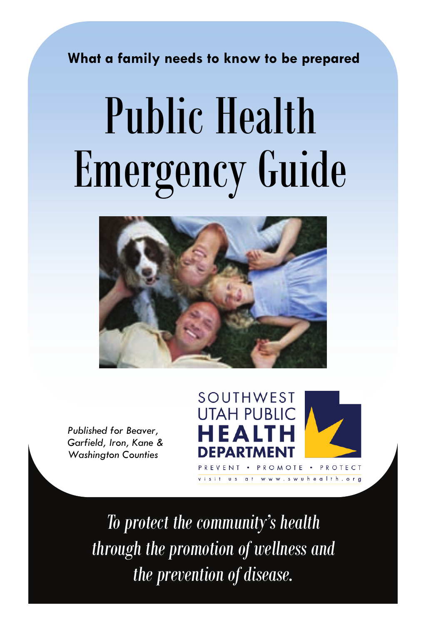**What a family needs to know to be prepared** 

# Public Health Emergency Guide



*Published for Beaver, Garfield, Iron, Kane & Washington Counties* 



*To protect the community's health through the promotion of wellness and the prevention of disease.*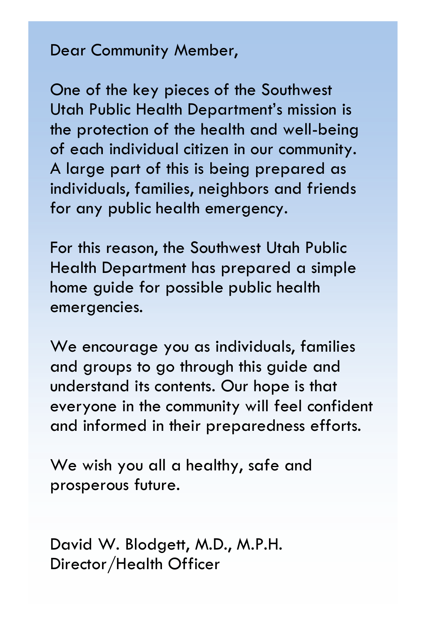#### Dear Community Member,

One of the key pieces of the Southwest Utah Public Health Department's mission is the protection of the health and well-being of each individual citizen in our community. A large part of this is being prepared as individuals, families, neighbors and friends for any public health emergency.

For this reason, the Southwest Utah Public Health Department has prepared a simple home guide for possible public health emergencies.

We encourage you as individuals, families and groups to go through this guide and understand its contents. Our hope is that everyone in the community will feel confident and informed in their preparedness efforts.

We wish you all a healthy, safe and prosperous future.

David W. Blodgett, M.D., M.P.H. Director/Health Officer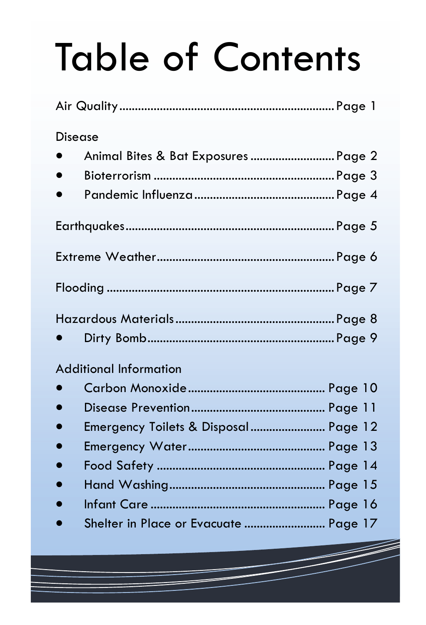# Table of Contents

| Disease                               |  |
|---------------------------------------|--|
| Animal Bites & Bat Exposures  Page 2  |  |
|                                       |  |
|                                       |  |
|                                       |  |
|                                       |  |
|                                       |  |
|                                       |  |
|                                       |  |
| <b>Additional Information</b>         |  |
|                                       |  |
|                                       |  |
| Emergency Toilets & Disposal Page 12  |  |
|                                       |  |
|                                       |  |
|                                       |  |
|                                       |  |
| Shelter in Place or Evacuate  Page 17 |  |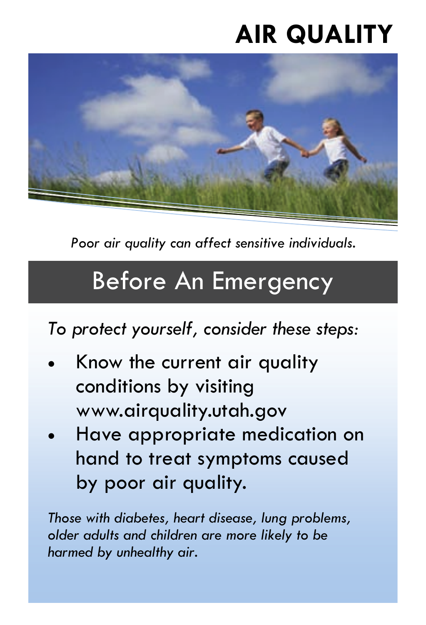# **AIR QUALITY**



*Poor air quality can affect sensitive individuals.* 

#### Before An Emergency

*To protect yourself, consider these steps:* 

- Know the current air quality conditions by visiting www.airquality.utah.gov
- Have appropriate medication on hand to treat symptoms caused by poor air quality.

*Those with diabetes, heart disease, lung problems, older adults and children are more likely to be harmed by unhealthy air.*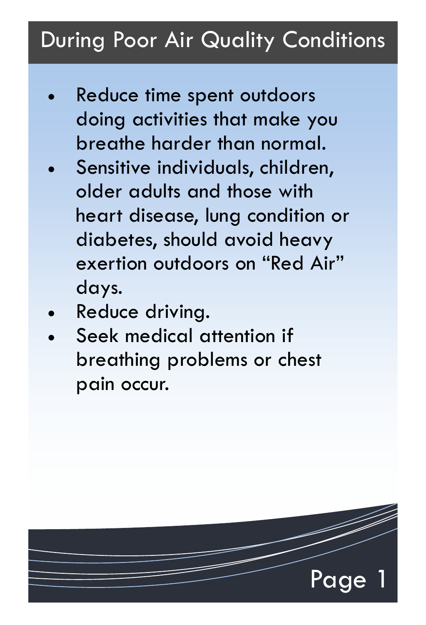#### During Poor Air Quality Conditions

- Reduce time spent outdoors doing activities that make you breathe harder than normal.
- Sensitive individuals, children, older adults and those with heart disease, lung condition or diabetes, should avoid heavy exertion outdoors on "Red Air" days.
- Reduce driving.
- Seek medical attention if breathing problems or chest pain occur.

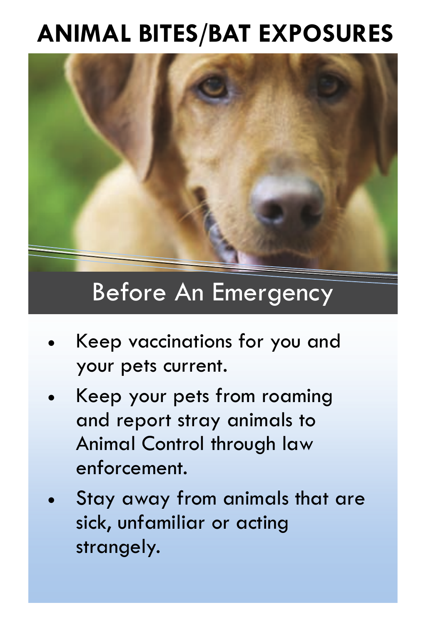## **ANIMAL BITES/BAT EXPOSURES**



Before An Emergency

- Keep vaccinations for you and your pets current.
- x Keep your pets from roaming and report stray animals to Animal Control through law enforcement.
- Stay away from animals that are sick, unfamiliar or acting strangely.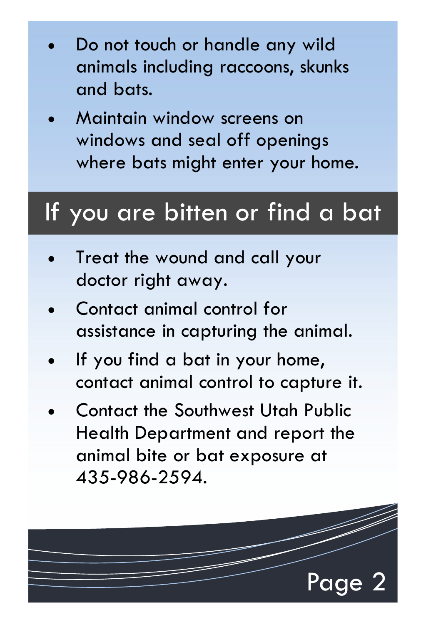- Do not touch or handle any wild animals including raccoons, skunks and bats.
- x Maintain window screens on windows and seal off openings where bats might enter your home.

#### If you are bitten or find a bat

- Treat the wound and call your doctor right away.
- Contact animal control for assistance in capturing the animal.
- If you find a bat in your home, contact animal control to capture it.
- x Contact the Southwest Utah Public Health Department and report the animal bite or bat exposure at 435-986-2594.

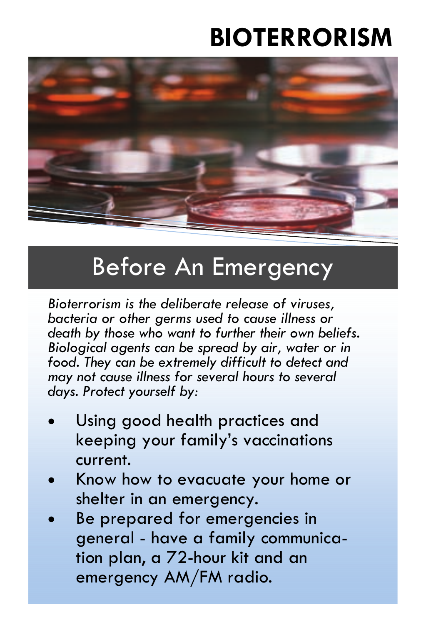## **BIOTERRORISM**



#### Before An Emergency

*Bioterrorism is the deliberate release of viruses, bacteria or other germs used to cause illness or death by those who want to further their own beliefs. Biological agents can be spread by air, water or in food. They can be extremely difficult to detect and may not cause illness for several hours to several days. Protect yourself by:* 

- Using good health practices and keeping your family's vaccinations current.
- x Know how to evacuate your home or shelter in an emergency.
- Be prepared for emergencies in general - have a family communication plan, a 72-hour kit and an emergency AM/FM radio.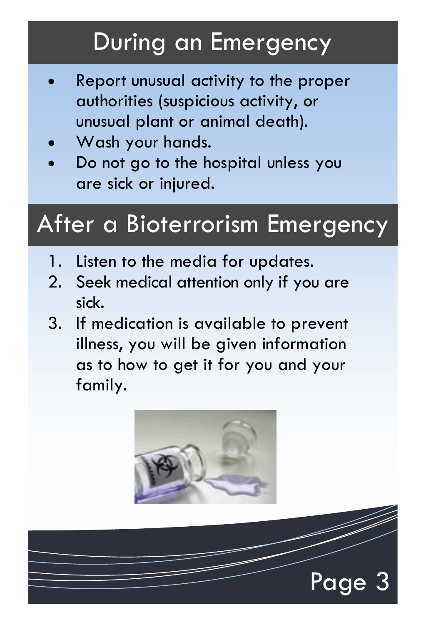### During an Emergency

- x Report unusual activity to the proper authorities (suspicious activity, or unusual plant or animal death).
- Wash your hands.
- Do not go to the hospital unless you are sick or injured.

#### After a Bioterrorism Emergency

- 1. Listen to the media for updates.
- 2. Seek medical attention only if you are sick.
- 3. If medication is available to prevent illness, you will be given information as to how to get it for you and your family.



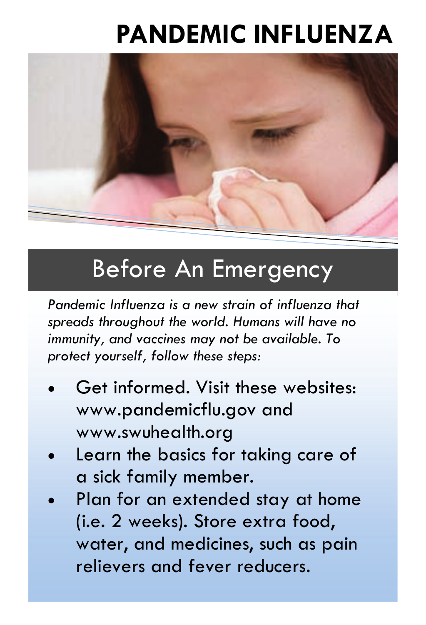## **PANDEMIC INFLUENZA**



#### Before An Emergency

*Pandemic Influenza is a new strain of influenza that spreads throughout the world. Humans will have no immunity, and vaccines may not be available. To protect yourself, follow these steps:* 

- Get informed. Visit these websites: www.pandemicflu.gov and www.swuhealth.org
- Learn the basics for taking care of a sick family member.
- Plan for an extended stay at home (i.e. 2 weeks). Store extra food, water, and medicines, such as pain relievers and fever reducers.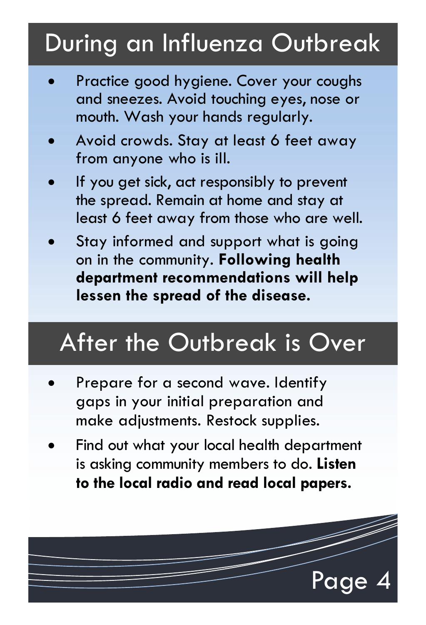## During an Influenza Outbreak

- Practice good hygiene. Cover your coughs and sneezes. Avoid touching eyes, nose or mouth. Wash your hands regularly.
- Avoid crowds. Stay at least 6 feet away from anyone who is ill.
- If you get sick, act responsibly to prevent the spread. Remain at home and stay at least 6 feet away from those who are well.
- Stay informed and support what is going on in the community. **Following health department recommendations will help lessen the spread of the disease.**

## After the Outbreak is Over

- Prepare for a second wave. Identify gaps in your initial preparation and make adjustments. Restock supplies.
- Find out what your local health department is asking community members to do. **Listen to the local radio and read local papers.**

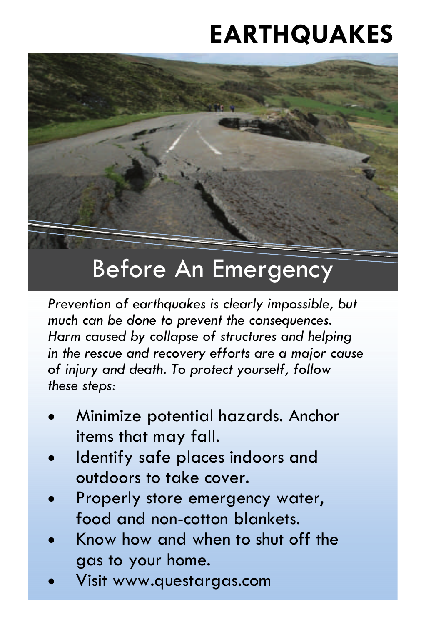# **EARTHQUAKES**



#### Before An Emergency

*Prevention of earthquakes is clearly impossible, but much can be done to prevent the consequences. Harm caused by collapse of structures and helping in the rescue and recovery efforts are a major cause of injury and death. To protect yourself, follow these steps:* 

- x Minimize potential hazards. Anchor items that may fall.
- Identify safe places indoors and outdoors to take cover.
- Properly store emergency water, food and non-cotton blankets.
- x Know how and when to shut off the gas to your home.
- x Visit www.questargas.com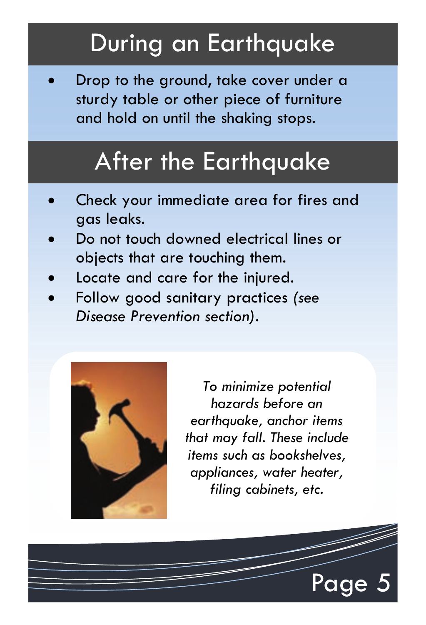#### During an Earthquake

Drop to the ground, take cover under a sturdy table or other piece of furniture and hold on until the shaking stops.

#### After the Earthquake

- x Check your immediate area for fires and gas leaks.
- Do not touch downed electrical lines or objects that are touching them.
- Locate and care for the injured.
- x Follow good sanitary practices *(see Disease Prevention section).*



*To minimize potential hazards before an earthquake, anchor items that may fall. These include items such as bookshelves, appliances, water heater, filing cabinets, etc.* 

Page 5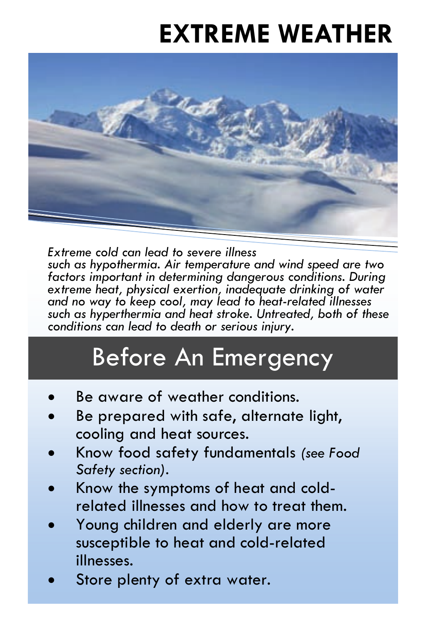# **EXTREME WEATHER**



*Extreme cold can lead to severe illness such as hypothermia. Air temperature and wind speed are two factors important in determining dangerous conditions. During extreme heat, physical exertion, inadequate drinking of water and no way to keep cool, may lead to heat-related illnesses such as hyperthermia and heat stroke. Untreated, both of these conditions can lead to death or serious injury.* 

## Before An Emergency

- Be aware of weather conditions.
- Be prepared with safe, alternate light, cooling and heat sources.
- x Know food safety fundamentals *(see Food Safety section).*
- Know the symptoms of heat and coldrelated illnesses and how to treat them.
- Young children and elderly are more susceptible to heat and cold-related illnesses.
- Store plenty of extra water.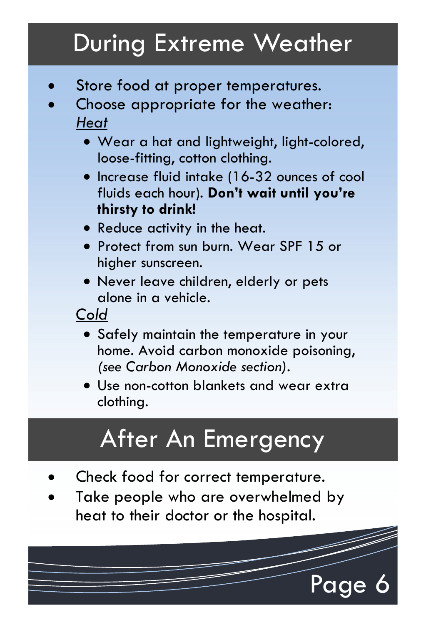## During Extreme Weather

- Store food at proper temperatures.
- Choose appropriate for the weather: *Heat*
	- Wear a hat and lightweight, light-colored, loose-fitting, cotton clothing.
	- x Increase fluid intake (16-32 ounces of cool fluids each hour). **Don't wait until you're thirsty to drink!**
	- Reduce activity in the heat.
	- Protect from sun burn. Wear SPF 15 or higher sunscreen.
	- Never leave children, elderly or pets alone in a vehicle.

*Cold*

- Safely maintain the temperature in your home. Avoid carbon monoxide poisoning, *(see Carbon Monoxide section).*
- Use non-cotton blankets and wear extra clothing.

## After An Emergency

- Check food for correct temperature.
- Take people who are overwhelmed by heat to their doctor or the hospital.

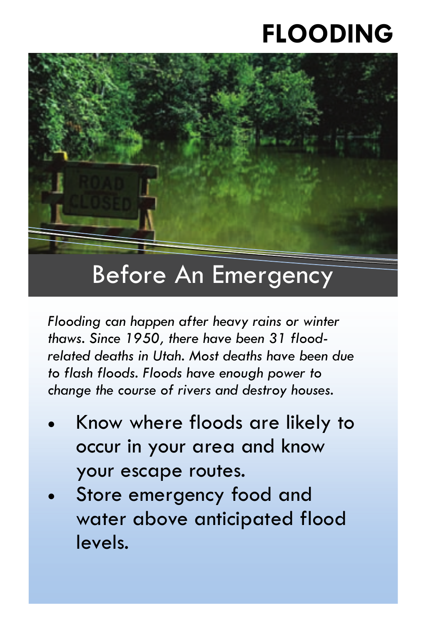## **FLOODING**



#### *Flooding can happen after heavy rains or winter thaws. Since 1950, there have been 31 floodrelated deaths in Utah. Most deaths have been due to flash floods. Floods have enough power to*

*change the course of rivers and destroy houses.* 

- x Know where floods are likely to occur in your area and know your escape routes.
- Store emergency food and water above anticipated flood levels.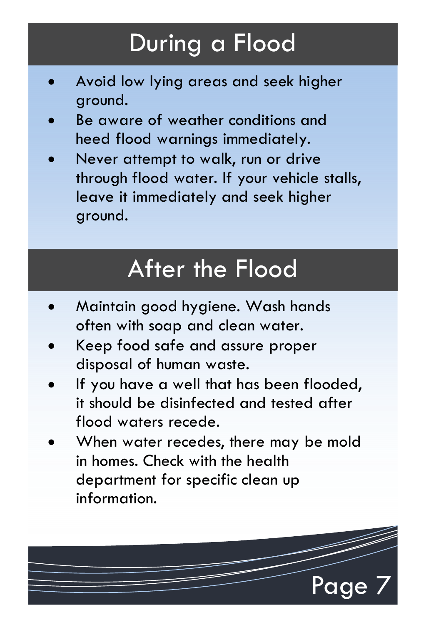## During a Flood

- x Avoid low lying areas and seek higher ground.
- Be aware of weather conditions and heed flood warnings immediately.
- Never attempt to walk, run or drive through flood water. If your vehicle stalls, leave it immediately and seek higher ground.

## After the Flood

- x Maintain good hygiene. Wash hands often with soap and clean water.
- x Keep food safe and assure proper disposal of human waste.
- If you have a well that has been flooded, it should be disinfected and tested after flood waters recede.
- When water recedes, there may be mold in homes. Check with the health department for specific clean up information.

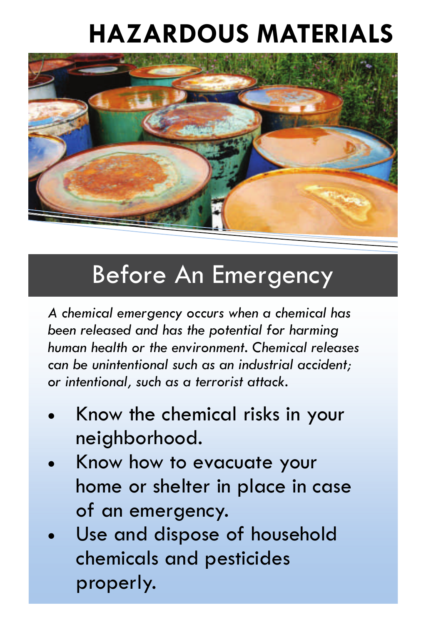# **HAZARDOUS MATERIALS**



#### Before An Emergency

*A chemical emergency occurs when a chemical has been released and has the potential for harming human health or the environment. Chemical releases can be unintentional such as an industrial accident; or intentional, such as a terrorist attack.* 

- x Know the chemical risks in your neighborhood.
- Know how to evacuate your home or shelter in place in case of an emergency.
- Use and dispose of household chemicals and pesticides properly.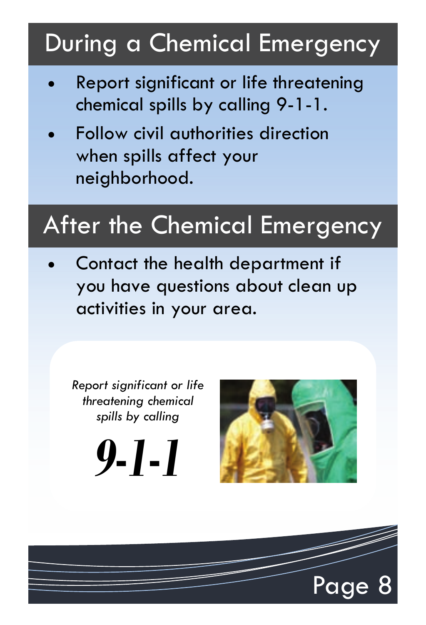## During a Chemical Emergency

- x Report significant or life threatening chemical spills by calling 9-1-1.
- Follow civil authorities direction when spills affect your neighborhood.

#### After the Chemical Emergency

Contact the health department if you have questions about clean up activities in your area.

*Report significant or life threatening chemical spills by calling* 

*9-1-1* 



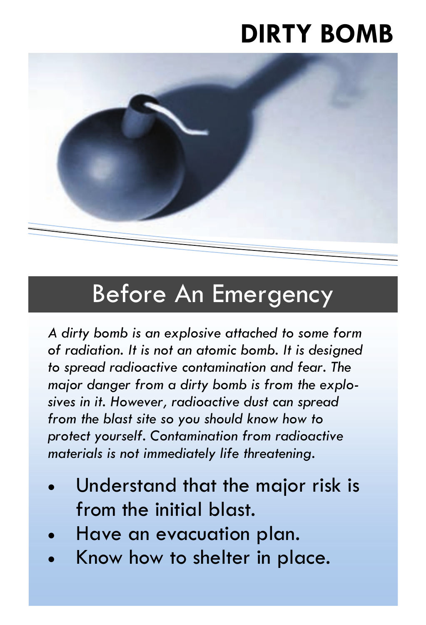## **DIRTY BOMB**



#### Before An Emergency

*A dirty bomb is an explosive attached to some form of radiation. It is not an atomic bomb. It is designed to spread radioactive contamination and fear. The major danger from a dirty bomb is from the explosives in it. However, radioactive dust can spread from the blast site so you should know how to protect yourself. Contamination from radioactive materials is not immediately life threatening.* 

- Understand that the major risk is from the initial blast.
- Have an evacuation plan.
- Know how to shelter in place.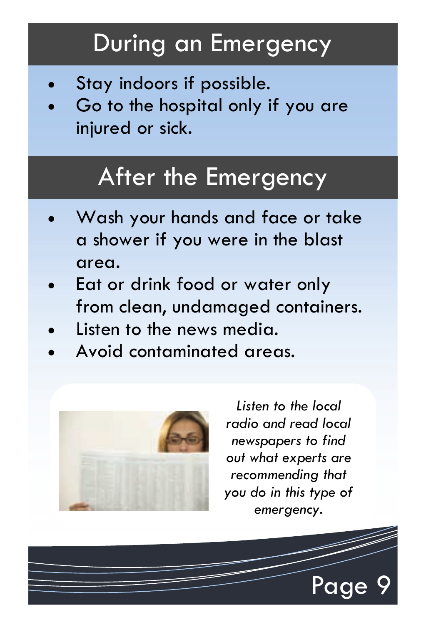#### During an Emergency

- Stay indoors if possible.
- Go to the hospital only if you are injured or sick.

#### After the Emergency

- x Wash your hands and face or take a shower if you were in the blast area.
- Eat or drink food or water only from clean, undamaged containers.
- Listen to the news media.
- x Avoid contaminated areas.



*Listen to the local radio and read local newspapers to find out what experts are recommending that you do in this type of emergency.*

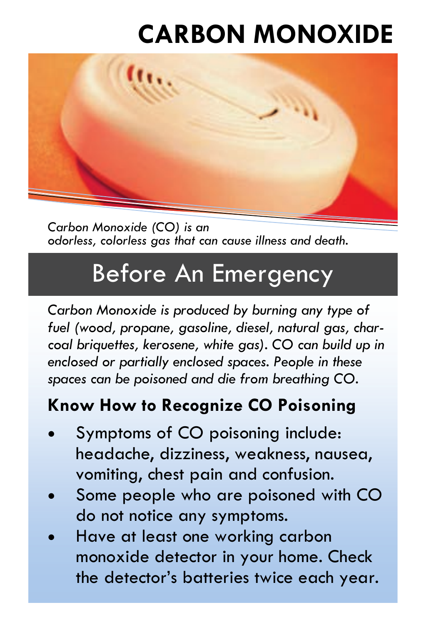# **CARBON MONOXIDE**



*Carbon Monoxide (CO) is an odorless, colorless gas that can cause illness and death.* 

#### Before An Emergency

*Carbon Monoxide is produced by burning any type of fuel (wood, propane, gasoline, diesel, natural gas, charcoal briquettes, kerosene, white gas). CO can build up in enclosed or partially enclosed spaces. People in these spaces can be poisoned and die from breathing CO.* 

#### **Know How to Recognize CO Poisoning**

- Symptoms of CO poisoning include: headache, dizziness, weakness, nausea, vomiting, chest pain and confusion.
- Some people who are poisoned with CO do not notice any symptoms.
- Have at least one working carbon monoxide detector in your home. Check the detector's batteries twice each year.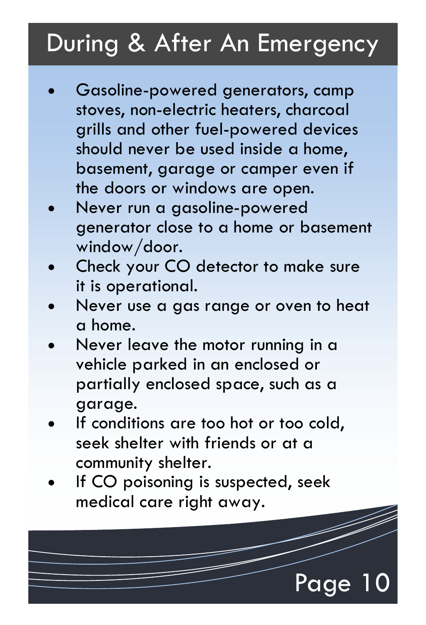## During & After An Emergency

- Gasoline-powered generators, camp stoves, non-electric heaters, charcoal grills and other fuel-powered devices should never be used inside a home, basement, garage or camper even if the doors or windows are open.
- Never run a gasoline-powered generator close to a home or basement window/door.
- Check your CO detector to make sure it is operational.
- Never use a gas range or oven to heat a home.
- Never leave the motor running in a vehicle parked in an enclosed or partially enclosed space, such as a garage.
- If conditions are too hot or too cold, seek shelter with friends or at a community shelter.
- If CO poisoning is suspected, seek medical care right away.

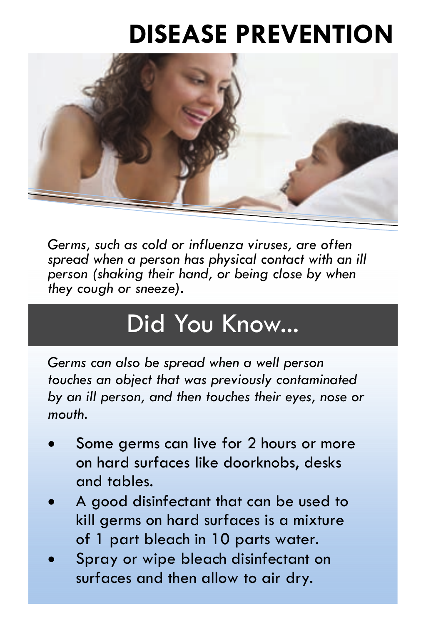## **DISEASE PREVENTION**



*Germs, such as cold or influenza viruses, are often spread when a person has physical contact with an ill person (shaking their hand, or being close by when they cough or sneeze).* 

## Did You Know...

*Germs can also be spread when a well person touches an object that was previously contaminated by an ill person, and then touches their eyes, nose or mouth.* 

- Some germs can live for 2 hours or more on hard surfaces like doorknobs, desks and tables.
- x A good disinfectant that can be used to kill germs on hard surfaces is a mixture of 1 part bleach in 10 parts water.
- Spray or wipe bleach disinfectant on surfaces and then allow to air dry.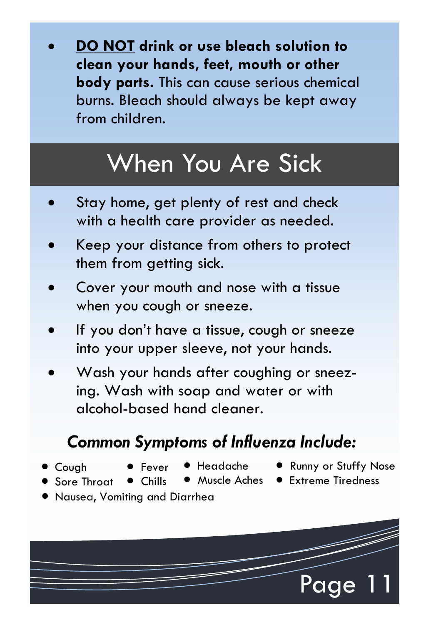x **DO NOT drink or use bleach solution to clean your hands, feet, mouth or other body parts.** This can cause serious chemical burns. Bleach should always be kept away from children.

## When You Are Sick

- Stay home, get plenty of rest and check with a health care provider as needed.
- x Keep your distance from others to protect them from getting sick.
- Cover your mouth and nose with a tissue when you cough or sneeze.
- If you don't have a tissue, cough or sneeze into your upper sleeve, not your hands.
- Wash your hands after coughing or sneezing. Wash with soap and water or with alcohol-based hand cleaner.

#### *Common Symptoms of Influenza Include:*

• Cough

**Core Throat** 

- **O** Fever  $\bullet$  Chills
- x Headache
- Runny or Stuffy Nose
- Muscle Aches Extreme Tiredness
- **Nausea, Vomiting and Diarrhea**

Page 11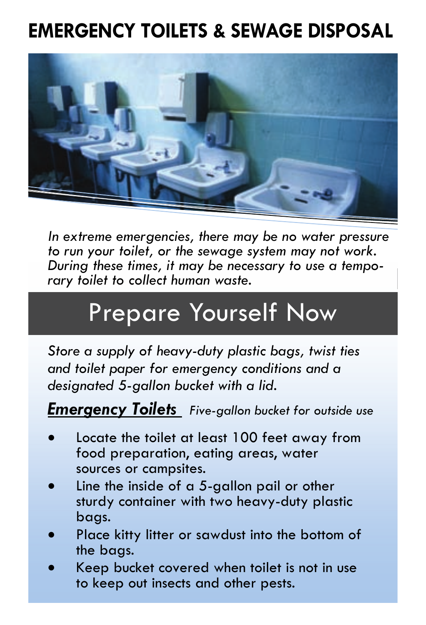#### **EMERGENCY TOILETS & SEWAGE DISPOSAL**



*In extreme emergencies, there may be no water pressure to run your toilet, or the sewage system may not work. During these times, it may be necessary to use a temporary toilet to collect human waste.* 

## Prepare Yourself Now

*Store a supply of heavy-duty plastic bags, twist ties and toilet paper for emergency conditions and a designated 5-gallon bucket with a lid.* 

*Emergency Toilets Five-gallon bucket for outside use*

- Locate the toilet at least 100 feet away from food preparation, eating areas, water sources or campsites.
- Line the inside of a  $5$ -gallon pail or other sturdy container with two heavy-duty plastic bags.
- Place kitty litter or sawdust into the bottom of the bags.
- Keep bucket covered when toilet is not in use to keep out insects and other pests.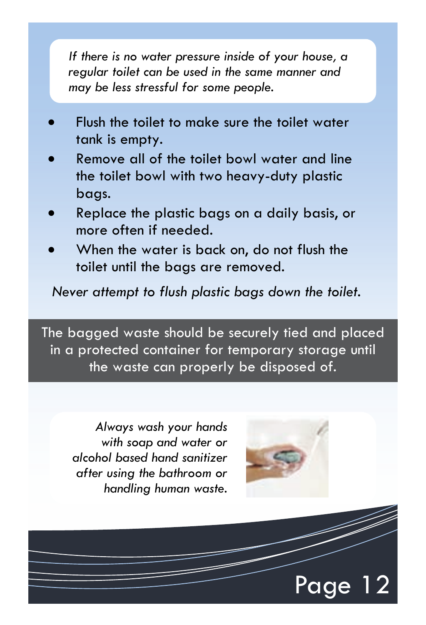*If there is no water pressure inside of your house, a regular toilet can be used in the same manner and may be less stressful for some people.* 

- Flush the toilet to make sure the toilet water tank is empty.
- Remove all of the toilet bowl water and line the toilet bowl with two heavy-duty plastic bags.
- x Replace the plastic bags on a daily basis, or more often if needed.
- When the water is back on, do not flush the toilet until the bags are removed.

*Never attempt to flush plastic bags down the toilet.* 

The bagged waste should be securely tied and placed in a protected container for temporary storage until the waste can properly be disposed of.

*Always wash your hands with soap and water or alcohol based hand sanitizer after using the bathroom or handling human waste.* 



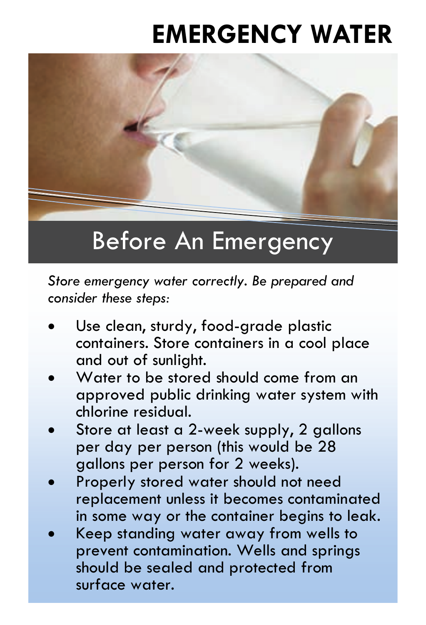## **EMERGENCY WATER**



*Store emergency water correctly. Be prepared and consider these steps:* 

- Use clean, sturdy, food-grade plastic containers. Store containers in a cool place and out of sunlight.
- x Water to be stored should come from an approved public drinking water system with chlorine residual.
- Store at least a 2-week supply, 2 gallons per day per person (this would be 28 gallons per person for 2 weeks).
- Properly stored water should not need replacement unless it becomes contaminated in some way or the container begins to leak.
- Keep standing water away from wells to prevent contamination. Wells and springs should be sealed and protected from surface water.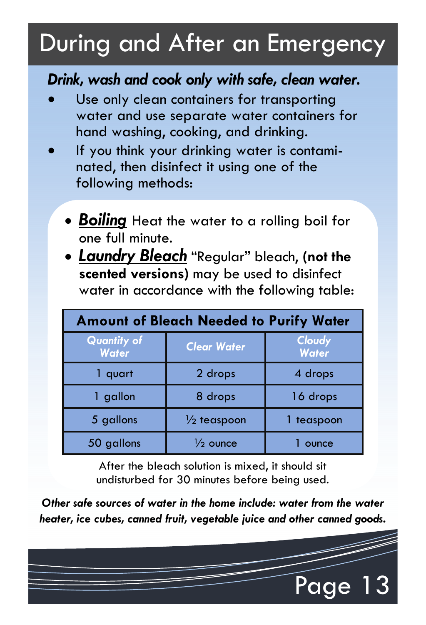## During and After an Emergency

#### *Drink, wash and cook only with safe, clean water.*

- Use only clean containers for transporting water and use separate water containers for hand washing, cooking, and drinking.
- If you think your drinking water is contaminated, then disinfect it using one of the following methods:
	- **Boiling** Heat the water to a rolling boil for one full minute.
	- x *Laundry Bleach* "Regular" bleach, **(not the scented versions)** may be used to disinfect water in accordance with the following table:

| <b>Amount of Bleach Needed to Purify Water</b> |                        |                        |  |
|------------------------------------------------|------------------------|------------------------|--|
| <b>Quantity of</b><br><b>Water</b>             | <b>Clear Water</b>     | Cloudy<br><b>Water</b> |  |
| quart                                          | 2 drops                | 4 drops                |  |
| gallon                                         | 8 drops                | 16 drops               |  |
| 5 gallons                                      | $\frac{1}{2}$ teaspoon | teaspoon               |  |
| 50 gallons                                     | $\frac{1}{2}$ ounce    | ounce                  |  |

After the bleach solution is mixed, it should sit undisturbed for 30 minutes before being used.

*Other safe sources of water in the home include: water from the water heater, ice cubes, canned fruit, vegetable juice and other canned goods.* 

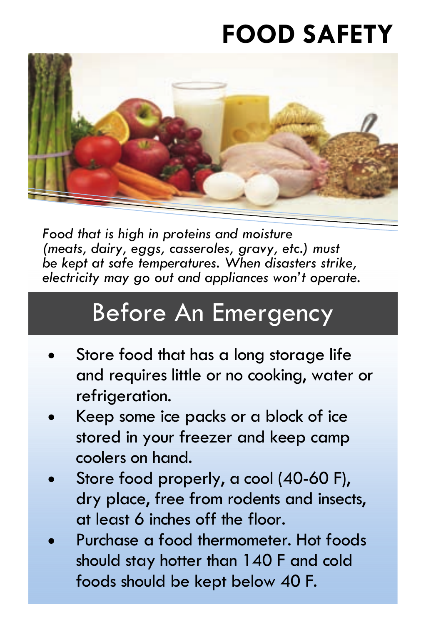## **FOOD SAFETY**



*Food that is high in proteins and moisture (meats, dairy, eggs, casseroles, gravy, etc.) must be kept at safe temperatures. When disasters strike, electricity may go out and appliances won't operate.* 

## Before An Emergency

- Store food that has a long storage life and requires little or no cooking, water or refrigeration.
- x Keep some ice packs or a block of ice stored in your freezer and keep camp coolers on hand.
- Store food properly, a cool (40-60 F), dry place, free from rodents and insects, at least 6 inches off the floor.
- x Purchase a food thermometer. Hot foods should stay hotter than 140 F and cold foods should be kept below 40 F.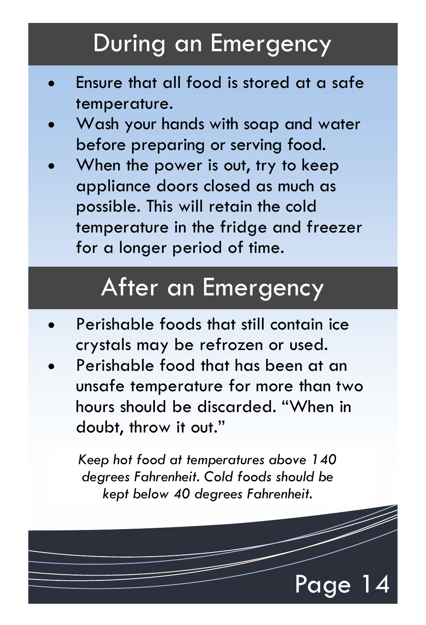#### During an Emergency

- Ensure that all food is stored at a safe temperature.
- Wash your hands with soap and water before preparing or serving food.
- When the power is out, try to keep appliance doors closed as much as possible. This will retain the cold temperature in the fridge and freezer for a longer period of time.

#### After an Emergency

- Perishable foods that still contain ice crystals may be refrozen or used.
- Perishable food that has been at an unsafe temperature for more than two hours should be discarded. "When in doubt, throw it out."

*Keep hot food at temperatures above 140 degrees Fahrenheit. Cold foods should be kept below 40 degrees Fahrenheit.* 

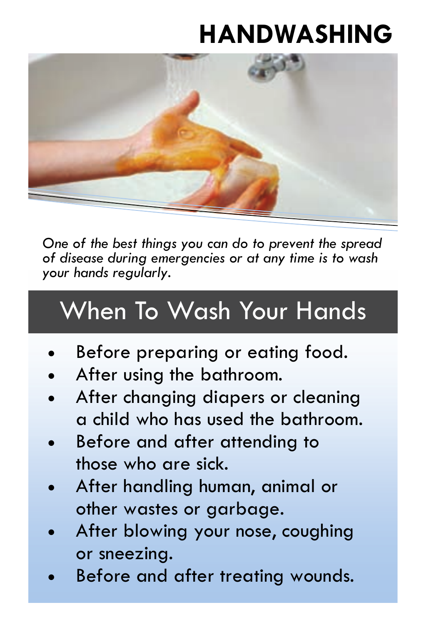## **HANDWASHING**



*One of the best things you can do to prevent the spread of disease during emergencies or at any time is to wash your hands regularly.* 

# When To Wash Your Hands

- Before preparing or eating food.
- x After using the bathroom.
- After changing diapers or cleaning a child who has used the bathroom.
- Before and after attending to those who are sick.
- x After handling human, animal or other wastes or garbage.
- After blowing your nose, coughing or sneezing.
- Before and after treating wounds.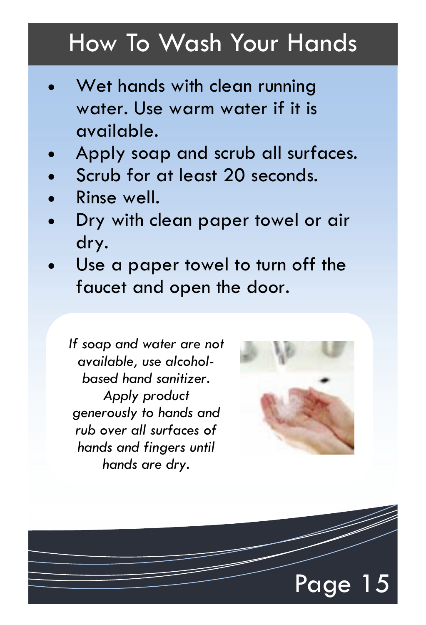#### How To Wash Your Hands

- Wet hands with clean running water. Use warm water if it is available.
- Apply soap and scrub all surfaces.
- Scrub for at least 20 seconds.
- Rinse well.
- Dry with clean paper towel or air dry.
- Use a paper towel to turn off the faucet and open the door.

*If soap and water are not available, use alcoholbased hand sanitizer. Apply product generously to hands and rub over all surfaces of hands and fingers until hands are dry.* 



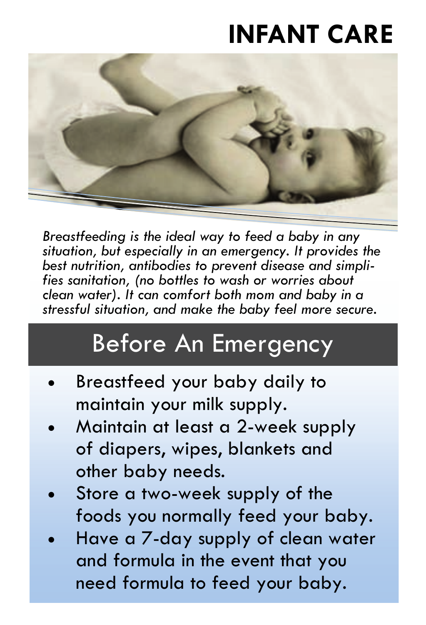## **INFANT CARE**



*Breastfeeding is the ideal way to feed a baby in any situation, but especially in an emergency. It provides the best nutrition, antibodies to prevent disease and simplifies sanitation, (no bottles to wash or worries about clean water). It can comfort both mom and baby in a stressful situation, and make the baby feel more secure.* 

#### Before An Emergency

- Breastfeed your baby daily to maintain your milk supply.
- Maintain at least a 2-week supply of diapers, wipes, blankets and other baby needs.
- Store a two-week supply of the foods you normally feed your baby.
- Have a 7-day supply of clean water and formula in the event that you need formula to feed your baby.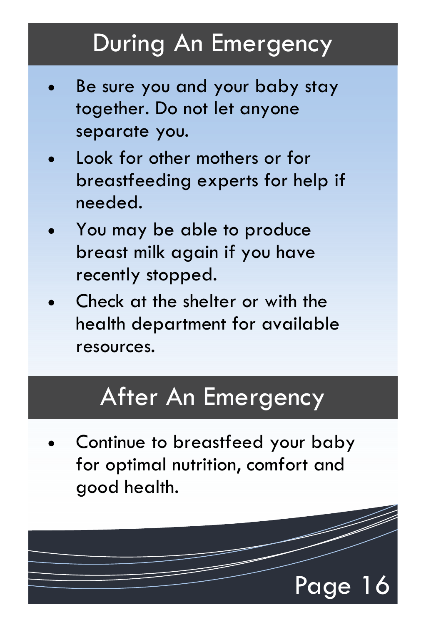### During An Emergency

- Be sure you and your baby stay together. Do not let anyone separate you.
- Look for other mothers or for breastfeeding experts for help if needed.
- You may be able to produce breast milk again if you have recently stopped.
- Check at the shelter or with the health department for available resources.

#### After An Emergency

Continue to breastfeed your baby for optimal nutrition, comfort and good health.

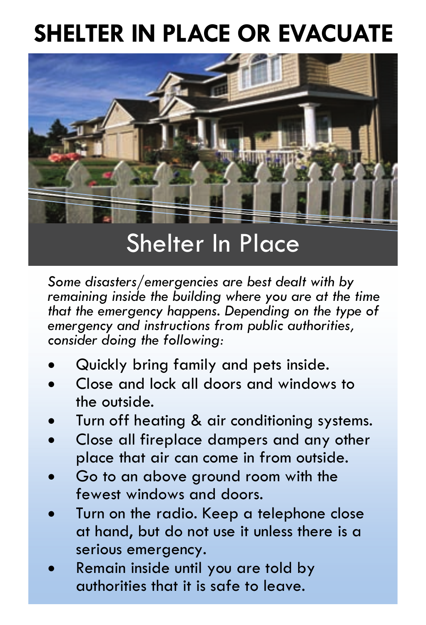## **SHELTER IN PLACE OR EVACUATE**



*Some disasters/emergencies are best dealt with by remaining inside the building where you are at the time that the emergency happens. Depending on the type of emergency and instructions from public authorities, consider doing the following:* 

- Quickly bring family and pets inside.
- x Close and lock all doors and windows to the outside.
- Turn off heating & air conditioning systems.
- Close all fireplace dampers and any other place that air can come in from outside.
- Go to an above ground room with the fewest windows and doors.
- Turn on the radio. Keep a telephone close at hand, but do not use it unless there is a serious emergency.
- x Remain inside until you are told by authorities that it is safe to leave.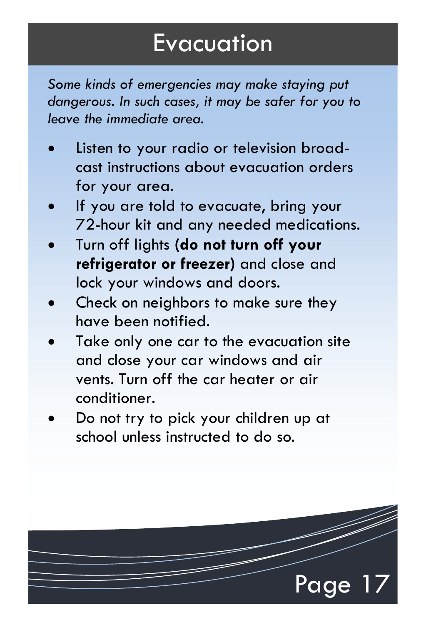#### Evacuation

*Some kinds of emergencies may make staying put dangerous. In such cases, it may be safer for you to leave the immediate area.* 

- Listen to your radio or television broadcast instructions about evacuation orders for your area.
- If you are told to evacuate, bring your 72-hour kit and any needed medications.
- x Turn off lights **(do not turn off your refrigerator or freezer)** and close and lock your windows and doors.
- Check on neighbors to make sure they have been notified.
- Take only one car to the evacuation site and close your car windows and air vents. Turn off the car heater or air conditioner.
- Do not try to pick your children up at school unless instructed to do so.